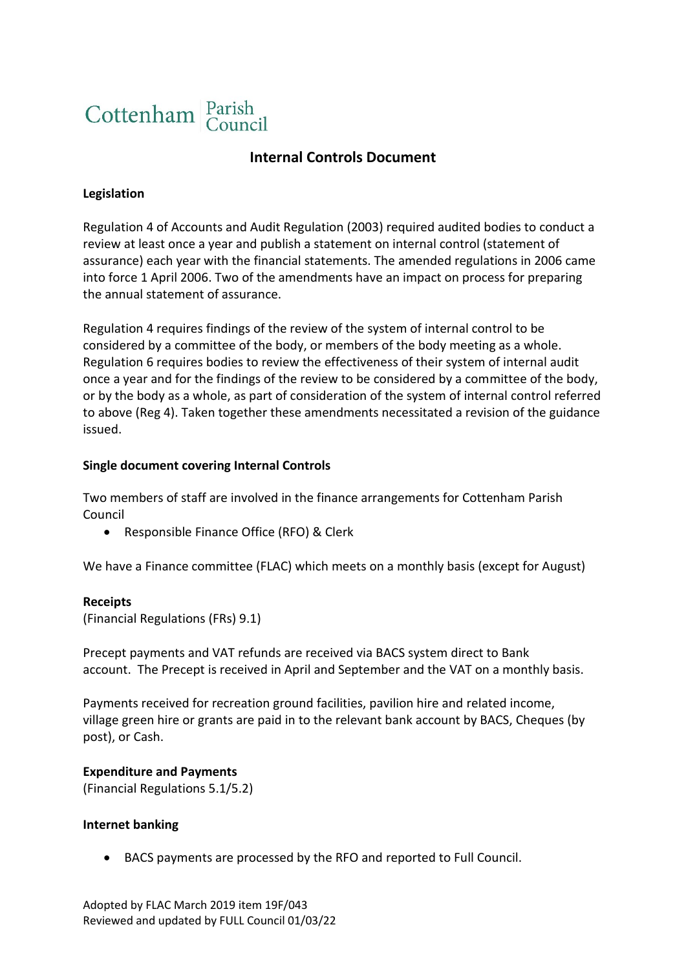

# **Internal Controls Document**

### **Legislation**

Regulation 4 of Accounts and Audit Regulation (2003) required audited bodies to conduct a review at least once a year and publish a statement on internal control (statement of assurance) each year with the financial statements. The amended regulations in 2006 came into force 1 April 2006. Two of the amendments have an impact on process for preparing the annual statement of assurance.

Regulation 4 requires findings of the review of the system of internal control to be considered by a committee of the body, or members of the body meeting as a whole. Regulation 6 requires bodies to review the effectiveness of their system of internal audit once a year and for the findings of the review to be considered by a committee of the body, or by the body as a whole, as part of consideration of the system of internal control referred to above (Reg 4). Taken together these amendments necessitated a revision of the guidance issued.

#### **Single document covering Internal Controls**

Two members of staff are involved in the finance arrangements for Cottenham Parish Council

• Responsible Finance Office (RFO) & Clerk

We have a Finance committee (FLAC) which meets on a monthly basis (except for August)

#### **Receipts**

(Financial Regulations (FRs) 9.1)

Precept payments and VAT refunds are received via BACS system direct to Bank account. The Precept is received in April and September and the VAT on a monthly basis.

Payments received for recreation ground facilities, pavilion hire and related income, village green hire or grants are paid in to the relevant bank account by BACS, Cheques (by post), or Cash.

#### **Expenditure and Payments**

(Financial Regulations 5.1/5.2)

#### **Internet banking**

• BACS payments are processed by the RFO and reported to Full Council.

Adopted by FLAC March 2019 item 19F/043 Reviewed and updated by FULL Council 01/03/22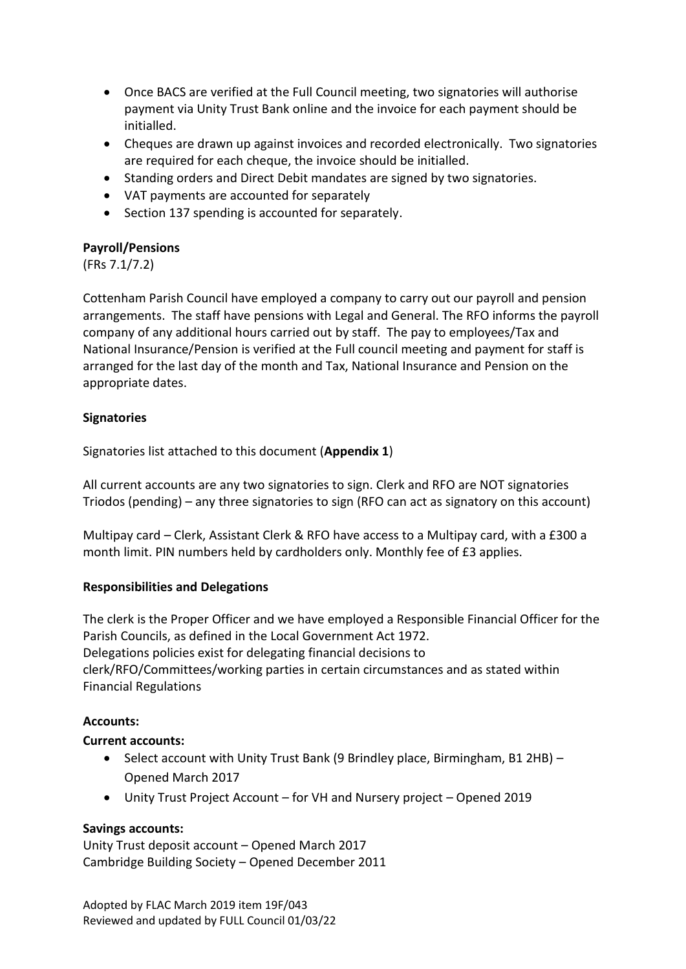- Once BACS are verified at the Full Council meeting, two signatories will authorise payment via Unity Trust Bank online and the invoice for each payment should be initialled.
- Cheques are drawn up against invoices and recorded electronically. Two signatories are required for each cheque, the invoice should be initialled.
- Standing orders and Direct Debit mandates are signed by two signatories.
- VAT payments are accounted for separately
- Section 137 spending is accounted for separately.

# **Payroll/Pensions**

(FRs 7.1/7.2)

Cottenham Parish Council have employed a company to carry out our payroll and pension arrangements. The staff have pensions with Legal and General. The RFO informs the payroll company of any additional hours carried out by staff. The pay to employees/Tax and National Insurance/Pension is verified at the Full council meeting and payment for staff is arranged for the last day of the month and Tax, National Insurance and Pension on the appropriate dates.

# **Signatories**

Signatories list attached to this document (**Appendix 1**)

All current accounts are any two signatories to sign. Clerk and RFO are NOT signatories Triodos (pending) – any three signatories to sign (RFO can act as signatory on this account)

Multipay card – Clerk, Assistant Clerk & RFO have access to a Multipay card, with a £300 a month limit. PIN numbers held by cardholders only. Monthly fee of £3 applies.

# **Responsibilities and Delegations**

The clerk is the Proper Officer and we have employed a Responsible Financial Officer for the Parish Councils, as defined in the Local Government Act 1972. Delegations policies exist for delegating financial decisions to clerk/RFO/Committees/working parties in certain circumstances and as stated within Financial Regulations

# **Accounts:**

# **Current accounts:**

- Select account with Unity Trust Bank (9 Brindley place, Birmingham, B1 2HB) Opened March 2017
- Unity Trust Project Account for VH and Nursery project Opened 2019

# **Savings accounts:**

Unity Trust deposit account – Opened March 2017 Cambridge Building Society – Opened December 2011